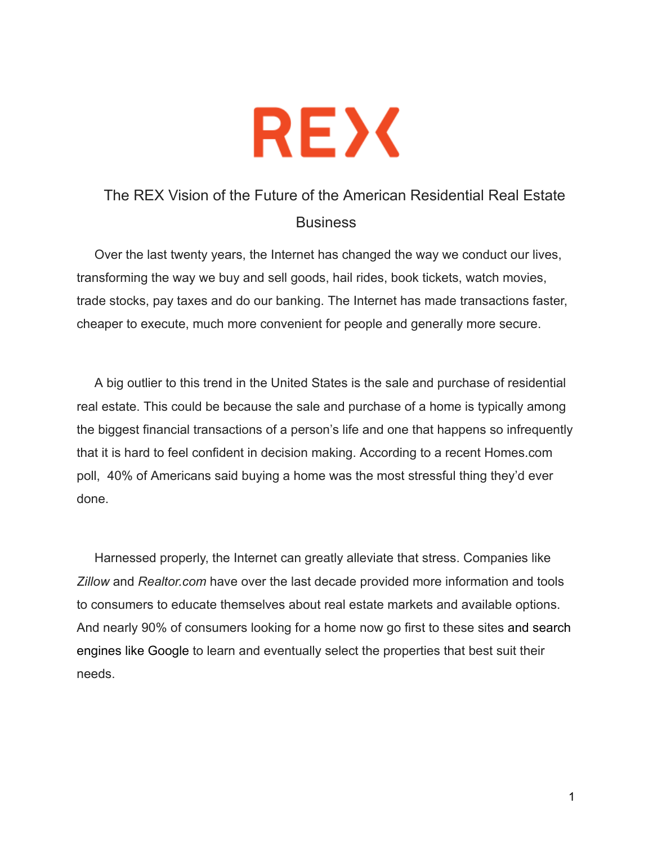

## The REX Vision of the Future of the American Residential Real Estate **Business**

 Over the last twenty years, the Internet has changed the way we conduct our lives, transforming the way we buy and sell goods, hail rides, book tickets, watch movies, trade stocks, pay taxes and do our banking. The Internet has made transactions faster, cheaper to execute, much more convenient for people and generally more secure.

 A big outlier to this trend in the United States is the sale and purchase of residential real estate. This could be because the sale and purchase of a home is typically among the biggest financial transactions of a person's life and one that happens so infrequently that it is hard to feel confident in decision making. According to a recent Homes.com poll, 40% of Americans said buying a home was the most stressful thing they'd ever done.

 Harnessed properly, the Internet can greatly alleviate that stress. Companies like *Zillow* and *Realtor.com*  have over the last decade provided more information and tools to consumers to educate themselves about real estate markets and available options. And nearly 90% of consumers looking for a home now go first to these sites and search engines like Google to learn and eventually select the properties that best suit their needs.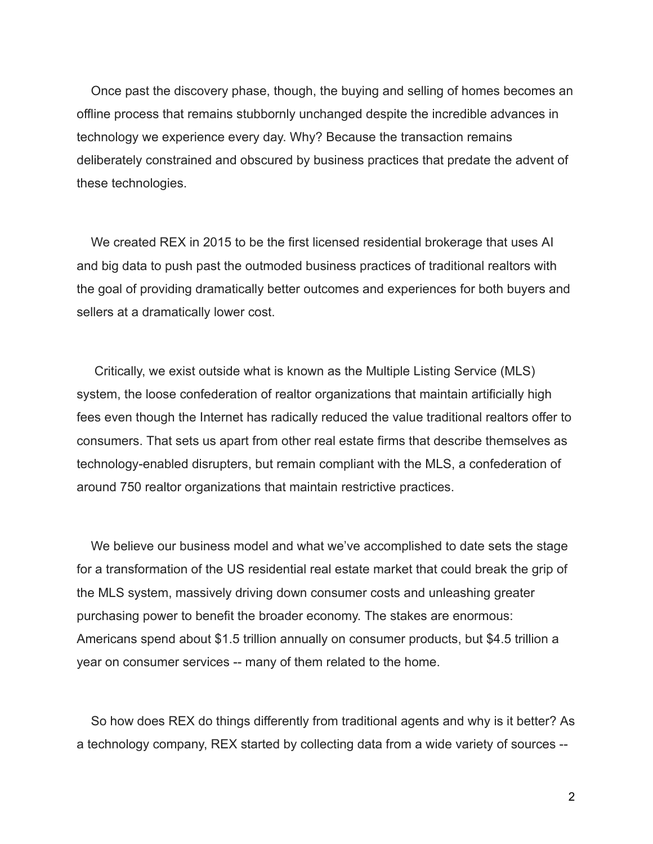Once past the discovery phase, though, the buying and selling of homes becomes an offline process that remains stubbornly unchanged despite the incredible advances in technology we experience every day. Why? Because the transaction remains deliberately constrained and obscured by business practices that predate the advent of these technologies.

 We created REX in 2015 to be the first licensed residential brokerage that uses AI and big data to push past the outmoded business practices of traditional realtors with the goal of providing dramatically better outcomes and experiences for both buyers and sellers at a dramatically lower cost.

 Critically, we exist outside what is known as the Multiple Listing Service (MLS) system, the loose confederation of realtor organizations that maintain artificially high fees even though the Internet has radically reduced the value traditional realtors offer to consumers. That sets us apart from other real estate firms that describe themselves as technologyenabled disrupters, but remain compliant with the MLS, a confederation of around 750 realtor organizations that maintain restrictive practices.

 We believe our business model and what we've accomplished to date sets the stage for a transformation of the US residential real estate market that could break the grip of the MLS system, massively driving down consumer costs and unleashing greater purchasing power to benefit the broader economy. The stakes are enormous: Americans spend about \$1.5 trillion annually on consumer products, but \$4.5 trillion a year on consumer services -- many of them related to the home.

 So how does REX do things differently from traditional agents and why is it better? As a technology company, REX started by collecting data from a wide variety of sources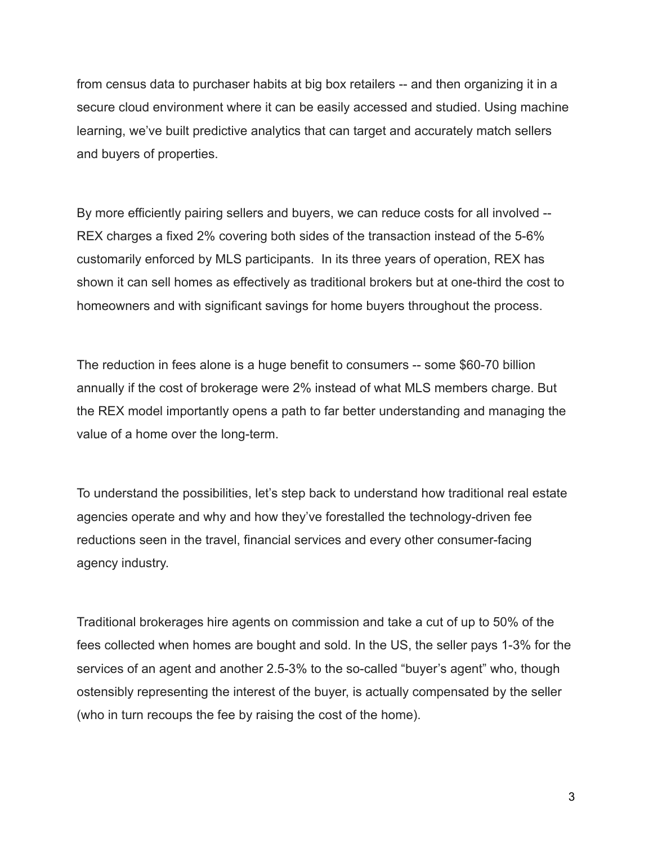from census data to purchaser habits at big box retailers -- and then organizing it in a secure cloud environment where it can be easily accessed and studied. Using machine learning, we've built predictive analytics that can target and accurately match sellers and buyers of properties.

By more efficiently pairing sellers and buyers, we can reduce costs for all involved --REX charges a fixed 2% covering both sides of the transaction instead of the 5-6% customarily enforced by MLS participants. In its three years of operation, REX has shown it can sell homes as effectively as traditional brokers but at one-third the cost to homeowners and with significant savings for home buyers throughout the process.

The reduction in fees alone is a huge benefit to consumers -- some \$60-70 billion annually if the cost of brokerage were 2% instead of what MLS members charge. But the REX model importantly opens a path to far better understanding and managing the value of a home over the long-term.

To understand the possibilities, let's step back to understand how traditional real estate agencies operate and why and how they've forestalled the technology-driven fee reductions seen in the travel, financial services and every other consumer-facing agency industry.

Traditional brokerages hire agents on commission and take a cut of up to 50% of the fees collected when homes are bought and sold. In the US, the seller pays 13% for the services of an agent and another 2.5-3% to the so-called "buyer's agent" who, though ostensibly representing the interest of the buyer, is actually compensated by the seller (who in turn recoups the fee by raising the cost of the home).

3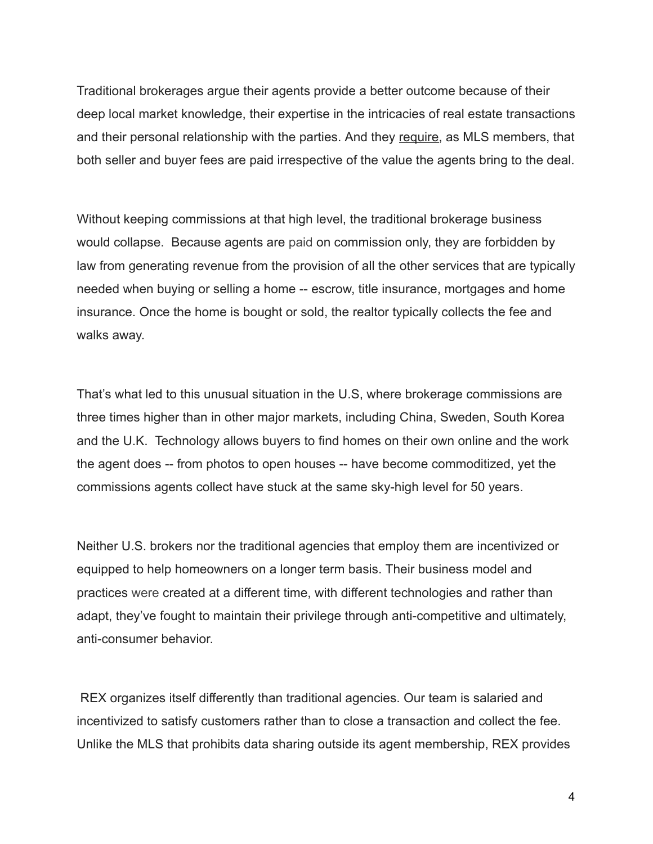Traditional brokerages argue their agents provide a better outcome because of their deep local market knowledge, their expertise in the intricacies of real estate transactions and their personal relationship with the parties. And they require , as MLS members, that both seller and buyer fees are paid irrespective of the value the agents bring to the deal.

Without keeping commissions at that high level, the traditional brokerage business would collapse. Because agents are paid on commission only, they are forbidden by law from generating revenue from the provision of all the other services that are typically needed when buying or selling a home -- escrow, title insurance, mortgages and home insurance. Once the home is bought or sold, the realtor typically collects the fee and walks away.

That's what led to this unusual situation in the U.S, where brokerage commissions are three times higher than in other major markets, including China, Sweden, South Korea and the U.K. Technology allows buyers to find homes on their own online and the work the agent does -- from photos to open houses -- have become commoditized, yet the commissions agents collect have stuck at the same skyhigh level for 50 years.

Neither U.S. brokers nor the traditional agencies that employ them are incentivized or equipped to help homeowners on a longer term basis. Their business model and practices were created at a different time, with different technologies and rather than adapt, they've fought to maintain their privilege through anti-competitive and ultimately, anti-consumer behavior.

 REX organizes itself differently than traditional agencies. Our team is salaried and incentivized to satisfy customers rather than to close a transaction and collect the fee. Unlike the MLS that prohibits data sharing outside its agent membership, REX provides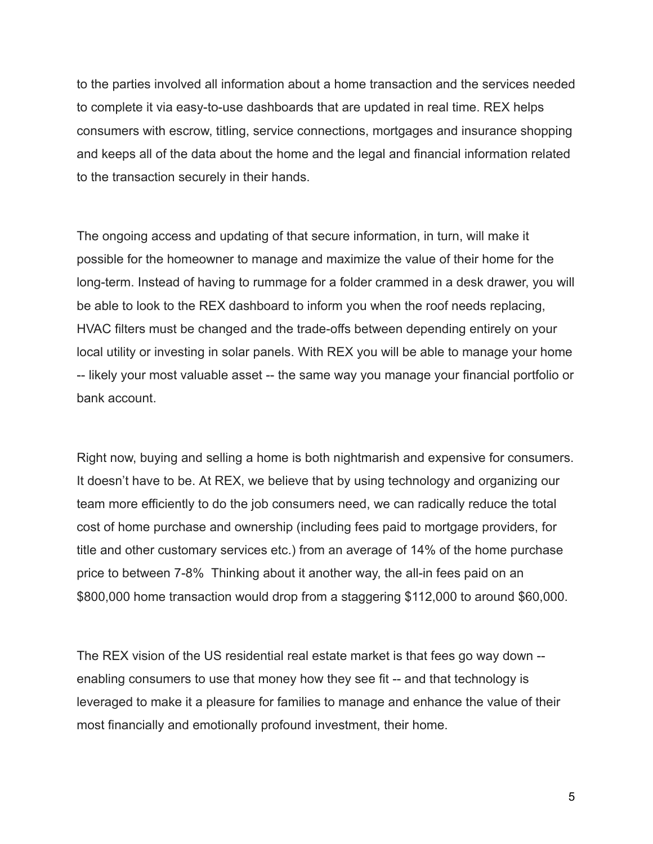to the parties involved all information about a home transaction and the services needed to complete it via easy-to-use dashboards that are updated in real time. REX helps consumers with escrow, titling, service connections, mortgages and insurance shopping and keeps all of the data about the home and the legal and financial information related to the transaction securely in their hands.

The ongoing access and updating of that secure information, in turn, will make it possible for the homeowner to manage and maximize the value of their home for the long-term. Instead of having to rummage for a folder crammed in a desk drawer, you will be able to look to the REX dashboard to inform you when the roof needs replacing, HVAC filters must be changed and the trade-offs between depending entirely on your local utility or investing in solar panels. With REX you will be able to manage your home -- likely your most valuable asset -- the same way you manage your financial portfolio or bank account.

Right now, buying and selling a home is both nightmarish and expensive for consumers. It doesn't have to be. At REX, we believe that by using technology and organizing our team more efficiently to do the job consumers need, we can radically reduce the total cost of home purchase and ownership (including fees paid to mortgage providers, for title and other customary services etc.) from an average of 14% of the home purchase price to between 7-8% Thinking about it another way, the all-in fees paid on an \$800,000 home transaction would drop from a staggering \$112,000 to around \$60,000.

The REX vision of the US residential real estate market is that fees go way down enabling consumers to use that money how they see fit -- and that technology is leveraged to make it a pleasure for families to manage and enhance the value of their most financially and emotionally profound investment, their home.